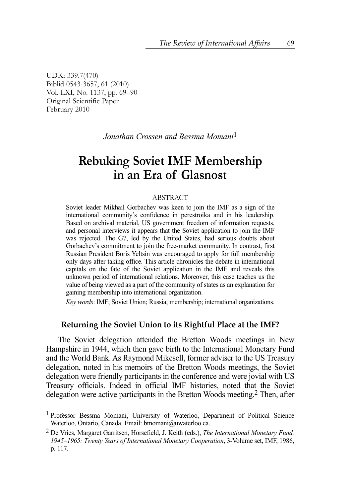UDK: 339.7(470) Biblid 0543-3657, 61 (2010) Vol. LXI, No. 1137, pp. 69–90 Original Scientific Paper February 2010

*Jonathan Crossen and Bessma Momani*1

# **Rebuking Soviet IMF Membership in an Era of Glasnost**

#### ABSTRACT

Soviet leader Mikhail Gorbachev was keen to join the IMF as a sign of the international community's confidence in perestroika and in his leadership. Based on archival material, US government freedom of information requests, and personal interviews it appears that the Soviet application to join the IMF was rejected. The G7, led by the United States, had serious doubts about Gorbachev's commitment to join the free-market community. In contrast, first Russian President Boris Yeltsin was encouraged to apply for full membership only days after taking office. This article chronicles the debate in international capitals on the fate of the Soviet application in the IMF and reveals this unknown period of international relations. Moreover, this case teaches us the value of being viewed as a part of the community of states as an explanation for gaining membership into international organization.

*Key words*: IMF; Soviet Union; Russia; membership; international organizations.

#### **Returning the Soviet Union to its Rightful Place at the IMF?**

The Soviet delegation attended the Bretton Woods meetings in New Hampshire in 1944, which then gave birth to the International Monetary Fund and the World Bank. As Raymond Mikesell, former adviser to the US Treasury delegation, noted in his memoirs of the Bretton Woods meetings, the Soviet delegation were friendly participants in the conference and were jovial with US Treasury officials. Indeed in official IMF histories, noted that the Soviet delegation were active participants in the Bretton Woods meeting.2 Then, after

<sup>&</sup>lt;sup>1</sup> Professor Bessma Momani, University of Waterloo, Department of Political Science Waterloo, Ontario, Canada. Email: bmomani@uwaterloo.ca.

<sup>2</sup> De Vries, Margaret Garritsen, Horsefield, J. Keith (eds.), *The International Monetary Fund, 1945–1965: Twenty Years of International Monetary Cooperation*, 3-Volume set, IMF, 1986, p. 117.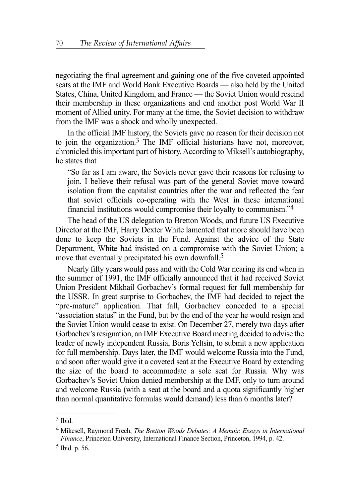negotiating the final agreement and gaining one of the five coveted appointed seats at the IMF and World Bank Executive Boards — also held by the United States, China, United Kingdom, and France — the Soviet Union would rescind their membership in these organizations and end another post World War II moment of Allied unity. For many at the time, the Soviet decision to withdraw from the IMF was a shock and wholly unexpected.

In the official IMF history, the Soviets gave no reason for their decision not to join the organization.<sup>3</sup> The IMF official historians have not, moreover, chronicled this important part of history. According to Miksell's autobiography, he states that

"So far as I am aware, the Soviets never gave their reasons for refusing to join. I believe their refusal was part of the general Soviet move toward isolation from the capitalist countries after the war and reflected the fear that soviet officials co-operating with the West in these international financial institutions would compromise their loyalty to communism."4

The head of the US delegation to Bretton Woods, and future US Executive Director at the IMF, Harry Dexter White lamented that more should have been done to keep the Soviets in the Fund. Against the advice of the State Department, White had insisted on a compromise with the Soviet Union; a move that eventually precipitated his own downfall.<sup>5</sup>

Nearly fifty years would pass and with the Cold War nearing its end when in the summer of 1991, the IMF officially announced that it had received Soviet Union President Mikhail Gorbachev's formal request for full membership for the USSR. In great surprise to Gorbachev, the IMF had decided to reject the "pre-mature" application. That fall, Gorbachev conceded to a special "association status" in the Fund, but by the end of the year he would resign and the Soviet Union would cease to exist. On December 27, merely two days after Gorbachev's resignation, an IMF Executive Board meeting decided to advise the leader of newly independent Russia, Boris Yeltsin, to submit a new application for full membership. Days later, the IMF would welcome Russia into the Fund, and soon after would give it a coveted seat at the Executive Board by extending the size of the board to accommodate a sole seat for Russia. Why was Gorbachev's Soviet Union denied membership at the IMF, only to turn around and welcome Russia (with a seat at the board and a quota significantly higher than normal quantitative formulas would demand) less than 6 months later?

 $3$  Ibid.

<sup>4</sup> Mikesell, Raymond Frech, *The Bretton Woods Debates: A Memoir. Essays in International Finance*, Princeton University, International Finance Section, Princeton, 1994, p. 42.

<sup>5</sup> Ibid. p. 56.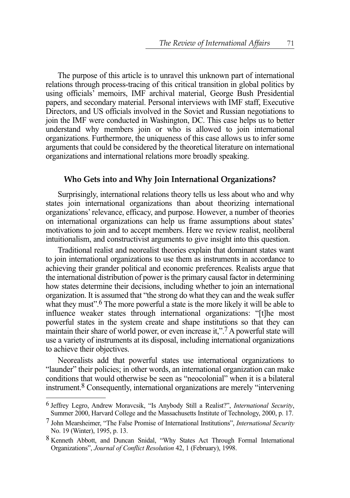The purpose of this article is to unravel this unknown part of international relations through process-tracing of this critical transition in global politics by using officials' memoirs, IMF archival material, George Bush Presidential papers, and secondary material. Personal interviews with IMF staff, Executive Directors, and US officials involved in the Soviet and Russian negotiations to join the IMF were conducted in Washington, DC. This case helps us to better understand why members join or who is allowed to join international organizations. Furthermore, the uniqueness of this case allows us to infer some arguments that could be considered by the theoretical literature on international organizations and international relations more broadly speaking.

#### **Who Gets into and Why Join International Organizations?**

Surprisingly, international relations theory tells us less about who and why states join international organizations than about theorizing international organizations' relevance, efficacy, and purpose. However, a number of theories on international organizations can help us frame assumptions about states' motivations to join and to accept members. Here we review realist, neoliberal intuitionalism, and constructivist arguments to give insight into this question.

Traditional realist and neorealist theories explain that dominant states want to join international organizations to use them as instruments in accordance to achieving their grander political and economic preferences. Realists argue that the international distribution of power is the primary causal factor in determining how states determine their decisions, including whether to join an international organization. It is assumed that "the strong do what they can and the weak suffer what they must".<sup>6</sup> The more powerful a state is the more likely it will be able to influence weaker states through international organizations: "[t]he most powerful states in the system create and shape institutions so that they can maintain their share of world power, or even increase it,".<sup>7</sup> A powerful state will use a variety of instruments at its disposal, including international organizations to achieve their objectives.

Neorealists add that powerful states use international organizations to "launder" their policies; in other words, an international organization can make conditions that would otherwise be seen as "neocolonial" when it is a bilateral instrument.8 Consequently, international organizations are merely "intervening

<sup>6</sup> Jeffrey Legro, Andrew Moravcsik, "Is Anybody Still a Realist?", *International Security*, Summer 2000, Harvard College and the Massachusetts Institute of Technology, 2000, p. 17.

<sup>7</sup> John Mearsheimer, "The False Promise of International Institutions", *International Security* No. 19 (Winter), 1995, p. 13.

<sup>8</sup> Kenneth Abbott, and Duncan Snidal, "Why States Act Through Formal International Organizations", *Journal of Conflict Resolution* 42, 1 (February), 1998.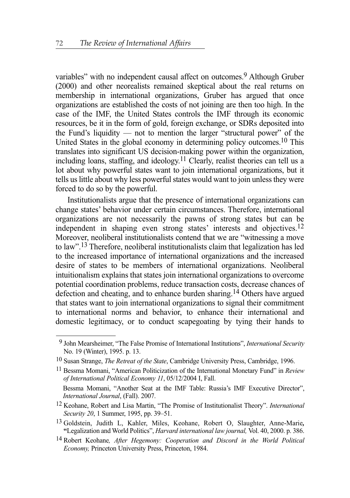variables" with no independent causal affect on outcomes.<sup>9</sup> Although Gruber (2000) and other neorealists remained skeptical about the real returns on membership in international organizations, Gruber has argued that once organizations are established the costs of not joining are then too high. In the case of the IMF, the United States controls the IMF through its economic resources, be it in the form of gold, foreign exchange, or SDRs deposited into the Fund's liquidity — not to mention the larger "structural power" of the United States in the global economy in determining policy outcomes.10 This translates into significant US decision-making power within the organization, including loans, staffing, and ideology.11 Clearly, realist theories can tell us a lot about why powerful states want to join international organizations, but it tells us little about why less powerful states would want to join unless they were forced to do so by the powerful.

Institutionalists argue that the presence of international organizations can change states' behavior under certain circumstances. Therefore, international organizations are not necessarily the pawns of strong states but can be independent in shaping even strong states' interests and objectives.12 Moreover, neoliberal institutionalists contend that we are "witnessing a move to law".13 Therefore, neoliberal institutionalists claim that legalization has led to the increased importance of international organizations and the increased desire of states to be members of international organizations. Neoliberal intuitionalism explains that states join international organizations to overcome potential coordination problems, reduce transaction costs, decrease chances of defection and cheating, and to enhance burden sharing.14 Others have argued that states want to join international organizations to signal their commitment to international norms and behavior, to enhance their international and domestic legitimacy, or to conduct scapegoating by tying their hands to

<sup>9</sup> John Mearsheimer, "The False Promise of International Institutions", *International Security* No. 19 (Winter), 1995. p. 13.

<sup>10</sup> Susan Strange, *The Retreat of the State*, Cambridge University Press, Cambridge, 1996.

<sup>11</sup> Bessma Momani, "American Politicization of the International Monetary Fund" in *Review of International Political Economy 11*, 05/12/2004 I, Fall.

Bessma Momani, "Another Seat at the IMF Table: Russia's IMF Executive Director", *International Journal*, (Fall). 2007.

<sup>12</sup> Keohane, Robert and Lisa Martin, "The Promise of Institutionalist Theory". *International Security 20*, 1 Summer, 1995, pp. 39–51.

<sup>13</sup> Goldstein, Judith L, Kahler, Miles, Keohane, Robert O, Slaughter, Anne-Marie*,* **"**Legalization and World Politics", *Harvard international law journal,* Vol. 40, 2000. p. 386.

<sup>14</sup> Robert Keohane*, After Hegemony: Cooperation and Discord in the World Political Economy,* Princeton University Press, Princeton, 1984.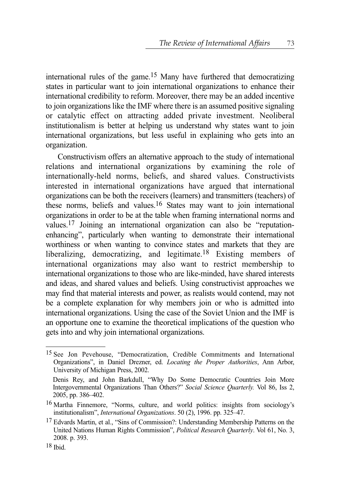international rules of the game.15 Many have furthered that democratizing states in particular want to join international organizations to enhance their international credibility to reform. Moreover, there may be an added incentive to join organizations like the IMF where there is an assumed positive signaling or catalytic effect on attracting added private investment. Neoliberal institutionalism is better at helping us understand why states want to join international organizations, but less useful in explaining who gets into an organization.

Constructivism offers an alternative approach to the study of international relations and international organizations by examining the role of internationally-held norms, beliefs, and shared values. Constructivists interested in international organizations have argued that international organizations can be both the receivers (learners) and transmitters (teachers) of these norms, beliefs and values.16 States may want to join international organizations in order to be at the table when framing international norms and values.17 Joining an international organization can also be "reputationenhancing", particularly when wanting to demonstrate their international worthiness or when wanting to convince states and markets that they are liberalizing, democratizing, and legitimate.18 Existing members of international organizations may also want to restrict membership to international organizations to those who are like-minded, have shared interests and ideas, and shared values and beliefs. Using constructivist approaches we may find that material interests and power, as realists would contend, may not be a complete explanation for why members join or who is admitted into international organizations. Using the case of the Soviet Union and the IMF is an opportune one to examine the theoretical implications of the question who gets into and why join international organizations.

<sup>15</sup> See Jon Pevehouse, "Democratization, Credible Commitments and International Organizations", in Daniel Drezner, ed. *Locating the Proper Authorities*, Ann Arbor, University of Michigan Press, 2002.

Denis Rey, and John Barkdull, "Why Do Some Democratic Countries Join More Intergovernmental Organizations Than Others?" *Social Science Quarterly.* Vol 86, Iss 2, 2005, pp. 386–402.

<sup>16</sup> Martha Finnemore, "Norms, culture, and world politics: insights from sociology's institutionalism", *International Organizations*. 50 (2), 1996. pp. 325–47.

<sup>&</sup>lt;sup>17</sup> Edvards Martin, et al., "Sins of Commission?: Understanding Membership Patterns on the United Nations Human Rights Commission", *Political Research Quarterly*. Vol 61, No. 3, 2008. p. 393.

<sup>18</sup> Ibid.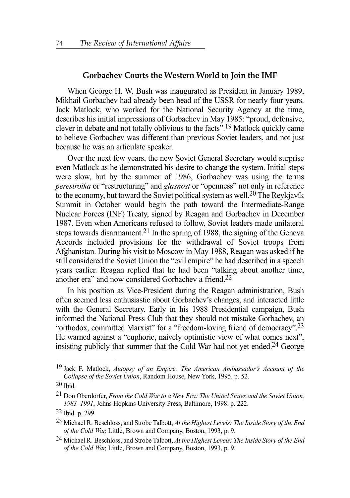### **Gorbachev Courts the Western World to Join the IMF**

When George H. W. Bush was inaugurated as President in January 1989, Mikhail Gorbachev had already been head of the USSR for nearly four years. Jack Matlock, who worked for the National Security Agency at the time, describes his initial impressions of Gorbachev in May 1985: "proud, defensive, clever in debate and not totally oblivious to the facts".19 Matlock quickly came to believe Gorbachev was different than previous Soviet leaders, and not just because he was an articulate speaker.

Over the next few years, the new Soviet General Secretary would surprise even Matlock as he demonstrated his desire to change the system. Initial steps were slow, but by the summer of 1986, Gorbachev was using the terms *perestroika* or "restructuring" and *glasnost* or "openness" not only in reference to the economy, but toward the Soviet political system as well.<sup>20</sup> The Reykjavík Summit in October would begin the path toward the Intermediate-Range Nuclear Forces (INF) Treaty, signed by Reagan and Gorbachev in December 1987. Even when Americans refused to follow, Soviet leaders made unilateral steps towards disarmament.<sup>21</sup> In the spring of 1988, the signing of the Geneva Accords included provisions for the withdrawal of Soviet troops from Afghanistan. During his visit to Moscow in May 1988, Reagan was asked if he still considered the Soviet Union the "evil empire" he had described in a speech years earlier. Reagan replied that he had been "talking about another time, another era" and now considered Gorbachev a friend.22

In his position as Vice-President during the Reagan administration, Bush often seemed less enthusiastic about Gorbachev's changes, and interacted little with the General Secretary. Early in his 1988 Presidential campaign, Bush informed the National Press Club that they should not mistake Gorbachev, an "orthodox, committed Marxist" for a "freedom-loving friend of democracy".<sup>23</sup> He warned against a "euphoric, naively optimistic view of what comes next", insisting publicly that summer that the Cold War had not yet ended.24 George

<sup>19</sup> Jack F. Matlock, *Autopsy of an Empire: The American Ambassador's Account of the Collapse of the Soviet Union*, Random House, New York, 1995. p. 52.

<sup>20</sup> Ibid.

<sup>21</sup> Don Oberdorfer, *From the Cold War to a New Era: The United States and the Soviet Union, 1983–1991*, Johns Hopkins University Press, Baltimore, 1998. p. 222.

<sup>22</sup> Ibid. p. 299.

<sup>23</sup> Michael R. Beschloss, and Strobe Talbott, *At the Highest Levels: The Inside Story of the End of the Cold War,* Little, Brown and Company, Boston, 1993, p. 9.

<sup>24</sup> Michael R. Beschloss, and Strobe Talbott, *At the Highest Levels: The Inside Story of the End of the Cold War,* Little, Brown and Company, Boston, 1993, p. 9.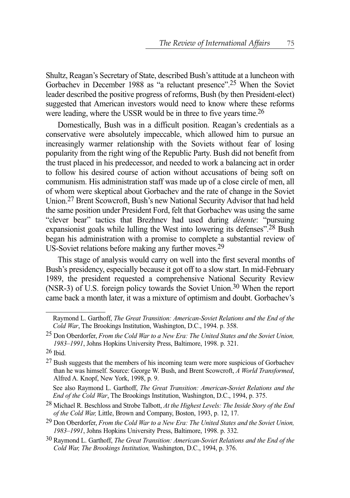Shultz, Reagan's Secretary of State, described Bush's attitude at a luncheon with Gorbachev in December 1988 as "a reluctant presence".25 When the Soviet leader described the positive progress of reforms, Bush (by then President-elect) suggested that American investors would need to know where these reforms were leading, where the USSR would be in three to five years time.<sup>26</sup>

Domestically, Bush was in a difficult position. Reagan's credentials as a conservative were absolutely impeccable, which allowed him to pursue an increasingly warmer relationship with the Soviets without fear of losing popularity from the right wing of the Republic Party. Bush did not benefit from the trust placed in his predecessor, and needed to work a balancing act in order to follow his desired course of action without accusations of being soft on communism. His administration staff was made up of a close circle of men, all of whom were skeptical about Gorbachev and the rate of change in the Soviet Union.27 Brent Scowcroft, Bush's new National Security Advisor that had held the same position under President Ford, felt that Gorbachev was using the same "clever bear" tactics that Brezhnev had used during *détente*: "pursuing expansionist goals while lulling the West into lowering its defenses".<sup>28</sup> Bush began his administration with a promise to complete a substantial review of US-Soviet relations before making any further moves.29

This stage of analysis would carry on well into the first several months of Bush's presidency, especially because it got off to a slow start. In mid-February 1989, the president requested a comprehensive National Security Review (NSR-3) of U.S. foreign policy towards the Soviet Union.<sup>30</sup> When the report came back a month later, it was a mixture of optimism and doubt. Gorbachev's

See also Raymond L. Garthoff, *The Great Transition: American-Soviet Relations and the End of the Cold War*, The Brookings Institution, Washington, D.C., 1994, p. 375.

28 Michael R. Beschloss and Strobe Talbott, *At the Highest Levels: The Inside Story of the End of the Cold War,* Little, Brown and Company, Boston, 1993, p. 12, 17.

- 29 Don Oberdorfer, *From the Cold War to a New Era: The United States and the Soviet Union, 1983–1991*, Johns Hopkins University Press, Baltimore, 1998. p. 332.
- 30 Raymond L. Garthoff, *The Great Transition: American-Soviet Relations and the End of the Cold War, The Brookings Institution,* Washington, D.C., 1994, p. 376.

Raymond L. Garthoff, *The Great Transition: American-Soviet Relations and the End of the Cold War*, The Brookings Institution, Washington, D.C., 1994. p. 358.

<sup>25</sup> Don Oberdorfer, *From the Cold War to a New Era: The United States and the Soviet Union, 1983–1991*, Johns Hopkins University Press, Baltimore, 1998. p. 321.

 $26$  Ibid.

<sup>&</sup>lt;sup>27</sup> Bush suggests that the members of his incoming team were more suspicious of Gorbachev than he was himself. Source: George W. Bush, and Brent Scowcroft, *A World Transformed*, Alfred A. Knopf, New York, 1998, p. 9.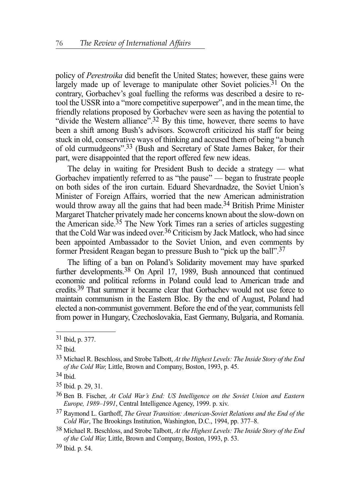policy of *Perestroika* did benefit the United States; however, these gains were largely made up of leverage to manipulate other Soviet policies.<sup>31</sup> On the contrary, Gorbachev's goal fuelling the reforms was described a desire to retool the USSR into a "more competitive superpower", and in the mean time, the friendly relations proposed by Gorbachev were seen as having the potential to "divide the Western alliance".<sup>32</sup> By this time, however, there seems to have been a shift among Bush's advisors. Scowcroft criticized his staff for being stuck in old, conservative ways of thinking and accused them of being "a bunch of old curmudgeons".33 (Bush and Secretary of State James Baker, for their part, were disappointed that the report offered few new ideas.

The delay in waiting for President Bush to decide a strategy — what Gorbachev impatiently referred to as "the pause" — began to frustrate people on both sides of the iron curtain. Eduard Shevardnadze, the Soviet Union's Minister of Foreign Affairs, worried that the new American administration would throw away all the gains that had been made.<sup>34</sup> British Prime Minister Margaret Thatcher privately made her concerns known about the slow-down on the American side.<sup>35</sup> The New York Times ran a series of articles suggesting that the Cold War was indeed over.36 Criticism by Jack Matlock, who had since been appointed Ambassador to the Soviet Union, and even comments by former President Reagan began to pressure Bush to "pick up the ball".37

The lifting of a ban on Poland's Solidarity movement may have sparked further developments.38 On April 17, 1989, Bush announced that continued economic and political reforms in Poland could lead to American trade and credits.39 That summer it became clear that Gorbachev would not use force to maintain communism in the Eastern Bloc. By the end of August, Poland had elected a non-communist government. Before the end of the year, communists fell from power in Hungary, Czechoslovakia, East Germany, Bulgaria, and Romania.

<sup>31</sup> Ibid, p. 377.

<sup>32</sup> Ibid.

<sup>33</sup> Michael R. Beschloss, and Strobe Talbott, *At the Highest Levels: The Inside Story of the End of the Cold War,* Little, Brown and Company, Boston, 1993, p. 45.

<sup>34</sup> Ibid.

<sup>35</sup> Ibid. p. 29, 31.

<sup>36</sup> Ben B. Fischer, *At Cold War's End: US Intelligence on the Soviet Union and Eastern Europe, 1989–1991*, Central Intelligence Agency, 1999. p. xiv.

<sup>37</sup> Raymond L. Garthoff, *The Great Transition: American-Soviet Relations and the End of the Cold War*, The Brookings Institution, Washington, D.C., 1994, pp. 377–8.

<sup>38</sup> Michael R. Beschloss, and Strobe Talbott, *At the Highest Levels: The Inside Story of the End of the Cold War,* Little, Brown and Company, Boston, 1993, p. 53.

<sup>39</sup> Ibid. p. 54.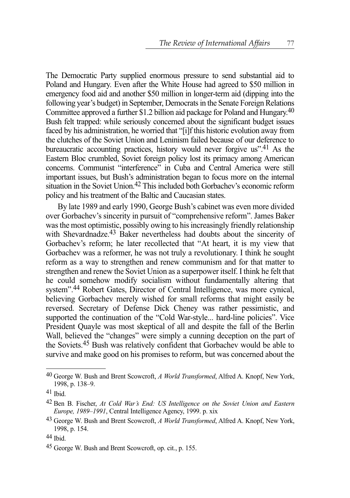The Democratic Party supplied enormous pressure to send substantial aid to Poland and Hungary. Even after the White House had agreed to \$50 million in emergency food aid and another \$50 million in longer-term aid (dipping into the following year's budget) in September, Democrats in the Senate Foreign Relations Committee approved a further \$1.2 billion aid package for Poland and Hungary.<sup>40</sup> Bush felt trapped: while seriously concerned about the significant budget issues faced by his administration, he worried that "[i]f this historic evolution away from the clutches of the Soviet Union and Leninism failed because of our deference to bureaucratic accounting practices, history would never forgive us".41 As the Eastern Bloc crumbled, Soviet foreign policy lost its primacy among American concerns. Communist "interference" in Cuba and Central America were still important issues, but Bush's administration began to focus more on the internal situation in the Soviet Union.<sup>42</sup> This included both Gorbachev's economic reform policy and his treatment of the Baltic and Caucasian states.

By late 1989 and early 1990, George Bush's cabinet was even more divided over Gorbachev's sincerity in pursuit of "comprehensive reform". James Baker was the most optimistic, possibly owing to his increasingly friendly relationship with Shevardnadze.<sup>43</sup> Baker nevertheless had doubts about the sincerity of Gorbachev's reform; he later recollected that "At heart, it is my view that Gorbachev was a reformer, he was not truly a revolutionary. I think he sought reform as a way to strengthen and renew communism and for that matter to strengthen and renew the Soviet Union as a superpower itself. I think he felt that he could somehow modify socialism without fundamentally altering that system".44 Robert Gates, Director of Central Intelligence, was more cynical, believing Gorbachev merely wished for small reforms that might easily be reversed. Secretary of Defense Dick Cheney was rather pessimistic, and supported the continuation of the "Cold War-style... hard-line policies". Vice President Quayle was most skeptical of all and despite the fall of the Berlin Wall, believed the "changes" were simply a cunning deception on the part of the Soviets.45 Bush was relatively confident that Gorbachev would be able to survive and make good on his promises to reform, but was concerned about the

<sup>40</sup> George W. Bush and Brent Scowcroft, *A World Transformed*, Alfred A. Knopf, New York, 1998, p. 138–9.

<sup>41</sup> Ibid.

<sup>42</sup> Ben B. Fischer, *At Cold War's End: US Intelligence on the Soviet Union and Eastern Europe, 1989–1991*, Central Intelligence Agency, 1999. p. xix

<sup>43</sup> George W. Bush and Brent Scowcroft, *A World Transformed*, Alfred A. Knopf, New York, 1998, p. 154.

<sup>44</sup> Ibid.

<sup>45</sup> George W. Bush and Brent Scowcroft, op. cit., p. 155.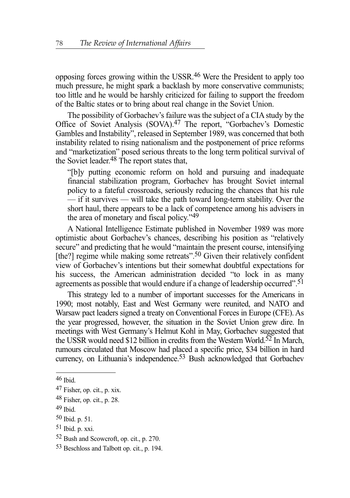opposing forces growing within the USSR.46 Were the President to apply too much pressure, he might spark a backlash by more conservative communists; too little and he would be harshly criticized for failing to support the freedom of the Baltic states or to bring about real change in the Soviet Union.

The possibility of Gorbachev's failure was the subject of a CIA study by the Office of Soviet Analysis (SOVA).47 The report, "Gorbachev's Domestic Gambles and Instability", released in September 1989, was concerned that both instability related to rising nationalism and the postponement of price reforms and "marketization" posed serious threats to the long term political survival of the Soviet leader. $48$  The report states that,

"[b]y putting economic reform on hold and pursuing and inadequate financial stabilization program, Gorbachev has brought Soviet internal policy to a fateful crossroads, seriously reducing the chances that his rule — if it survives — will take the path toward long-term stability. Over the short haul, there appears to be a lack of competence among his advisers in the area of monetary and fiscal policy."49

A National Intelligence Estimate published in November 1989 was more optimistic about Gorbachev's chances, describing his position as "relatively secure" and predicting that he would "maintain the present course, intensifying [the?] regime while making some retreats".<sup>50</sup> Given their relatively confident view of Gorbachev's intentions but their somewhat doubtful expectations for his success, the American administration decided "to lock in as many agreements as possible that would endure if a change of leadership occurred".<sup>51</sup>

This strategy led to a number of important successes for the Americans in 1990; most notably, East and West Germany were reunited, and NATO and Warsaw pact leaders signed a treaty on Conventional Forces in Europe (CFE). As the year progressed, however, the situation in the Soviet Union grew dire. In meetings with West Germany's Helmut Kohl in May, Gorbachev suggested that the USSR would need \$12 billion in credits from the Western World.<sup>52</sup> In March, rumours circulated that Moscow had placed a specific price, \$34 billion in hard currency, on Lithuania's independence.<sup>53</sup> Bush acknowledged that Gorbachev

<sup>46</sup> Ibid.

<sup>47</sup> Fisher, op. cit., p. xix.

<sup>48</sup> Fisher, op. cit., p. 28.

<sup>49</sup> Ibid.

<sup>50</sup> Ibid. p. 51.

 $51$  Ibid. p. xxi.

<sup>52</sup> Bush and Scowcroft, op. cit., p. 270.

<sup>53</sup> Beschloss and Talbott op. cit., p. 194.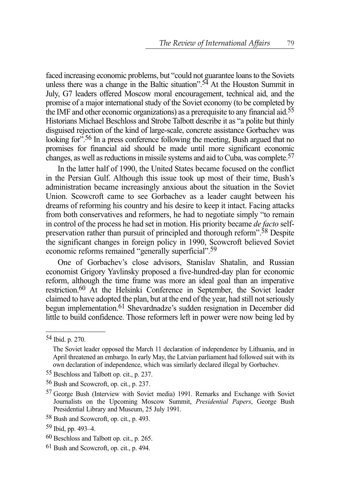faced increasing economic problems, but "could not guarantee loans to the Soviets unless there was a change in the Baltic situation".<sup>54</sup> At the Houston Summit in July, G7 leaders offered Moscow moral encouragement, technical aid, and the promise of a major international study of the Soviet economy (to be completed by the IMF and other economic organizations) as a prerequisite to any financial aid.55 Historians Michael Beschloss and Strobe Talbott describe it as "a polite but thinly disguised rejection of the kind of large-scale, concrete assistance Gorbachev was looking for<sup>".56</sup> In a press conference following the meeting, Bush argued that no promises for financial aid should be made until more significant economic changes, as well as reductions in missile systems and aid to Cuba, was complete.57

In the latter half of 1990, the United States became focused on the conflict in the Persian Gulf. Although this issue took up most of their time, Bush's administration became increasingly anxious about the situation in the Soviet Union. Scowcroft came to see Gorbachev as a leader caught between his dreams of reforming his country and his desire to keep it intact. Facing attacks from both conservatives and reformers, he had to negotiate simply "to remain in control of the process he had set in motion. His priority became *de facto* selfpreservation rather than pursuit of principled and thorough reform".58 Despite the significant changes in foreign policy in 1990, Scowcroft believed Soviet economic reforms remained "generally superficial".59

One of Gorbachev's close advisors, Stanislav Shatalin, and Russian economist Grigory Yavlinsky proposed a five-hundred-day plan for economic reform, although the time frame was more an ideal goal than an imperative restriction.60 At the Helsinki Conference in September, the Soviet leader claimed to have adopted the plan, but at the end of the year, had still not seriously begun implementation.61 Shevardnadze's sudden resignation in December did little to build confidence. Those reformers left in power were now being led by

<sup>54</sup> Ibid. p. 270.

The Soviet leader opposed the March 11 declaration of independence by Lithuania, and in April threatened an embargo. In early May, the Latvian parliament had followed suit with its own declaration of independence, which was similarly declared illegal by Gorbachev.

<sup>55</sup> Beschloss and Talbott op. cit., p. 237.

<sup>56</sup> Bush and Scowcroft, op. cit., p. 237.

<sup>57</sup> George Bush (Interview with Soviet media) 1991. Remarks and Exchange with Soviet Journalists on the Upcoming Moscow Summit, *Presidential Papers*, George Bush Presidential Library and Museum, 25 July 1991.

<sup>58</sup> Bush and Scowcroft, op. cit., p. 493.

<sup>59</sup> Ibid, pp. 493–4.

<sup>60</sup> Beschloss and Talbott op. cit., p. 265.

<sup>61</sup> Bush and Scowcroft, op. cit., p. 494.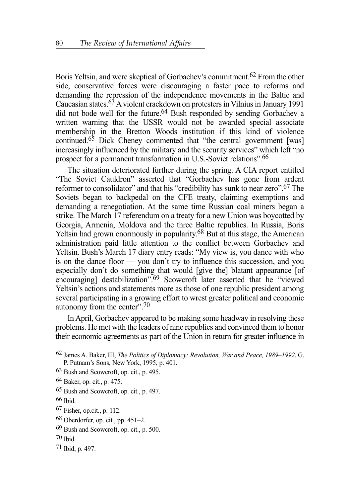Boris Yeltsin, and were skeptical of Gorbachev's commitment.<sup>62</sup> From the other side, conservative forces were discouraging a faster pace to reforms and demanding the repression of the independence movements in the Baltic and Caucasian states.<sup>63</sup> A violent crackdown on protesters in Vilnius in January 1991 did not bode well for the future.<sup>64</sup> Bush responded by sending Gorbachev a written warning that the USSR would not be awarded special associate membership in the Bretton Woods institution if this kind of violence continued.<sup>65</sup> Dick Cheney commented that "the central government [was] increasingly influenced by the military and the security services" which left "no prospect for a permanent transformation in U.S.-Soviet relations".66

The situation deteriorated further during the spring. A CIA report entitled "The Soviet Cauldron" asserted that "Gorbachev has gone from ardent reformer to consolidator" and that his "credibility has sunk to near zero".67 The Soviets began to backpedal on the CFE treaty, claiming exemptions and demanding a renegotiation. At the same time Russian coal miners began a strike. The March 17 referendum on a treaty for a new Union was boycotted by Georgia, Armenia, Moldova and the three Baltic republics. In Russia, Boris Yeltsin had grown enormously in popularity.68 But at this stage, the American administration paid little attention to the conflict between Gorbachev and Yeltsin. Bush's March 17 diary entry reads: "My view is, you dance with who is on the dance floor — you don't try to influence this succession, and you especially don't do something that would [give the] blatant appearance [of encouraging] destabilization".<sup>69</sup> Scowcroft later asserted that he "viewed" Yeltsin's actions and statements more as those of one republic president among several participating in a growing effort to wrest greater political and economic autonomy from the center".<sup>70</sup>

In April, Gorbachev appeared to be making some headway in resolving these problems. He met with the leaders of nine republics and convinced them to honor their economic agreements as part of the Union in return for greater influence in

 $66$  Ibid.

69 Bush and Scowcroft, op. cit., p. 500.

<sup>62</sup> James A. Baker, III, *The Politics of Diplomacy: Revolution, War and Peace, 1989–1992*. G. P. Putnam's Sons, New York, 1995, p. 401.

<sup>63</sup> Bush and Scowcroft, op. cit., p. 495.

<sup>64</sup> Baker, op. cit., p. 475.

<sup>65</sup> Bush and Scowcroft, op. cit., p. 497.

<sup>67</sup> Fisher, op.cit., p. 112.

 $68$  Oberdorfer, op. cit., pp. 451–2.

<sup>70</sup> Ibid.

<sup>71</sup> Ibid, p. 497.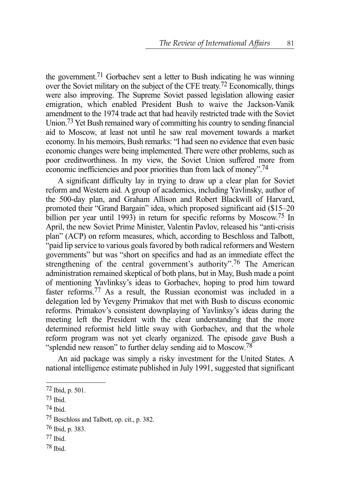the government.71 Gorbachev sent a letter to Bush indicating he was winning over the Soviet military on the subject of the CFE treaty.72 Economically, things were also improving. The Supreme Soviet passed legislation allowing easier emigration, which enabled President Bush to waive the Jackson-Vanik amendment to the 1974 trade act that had heavily restricted trade with the Soviet Union.73 Yet Bush remained wary of committing his country to sending financial aid to Moscow, at least not until he saw real movement towards a market economy. In his memoirs, Bush remarks: "I had seen no evidence that even basic economic changes were being implemented. There were other problems, such as poor creditworthiness. In my view, the Soviet Union suffered more from economic inefficiencies and poor priorities than from lack of money".74

A significant difficulty lay in trying to draw up a clear plan for Soviet reform and Western aid. A group of academics, including Yavlinsky, author of the 500-day plan, and Graham Allison and Robert Blackwill of Harvard, promoted their "Grand Bargain" idea, which proposed significant aid (\$15–20 billion per year until 1993) in return for specific reforms by Moscow.<sup>75</sup> In April, the new Soviet Prime Minister, Valentin Pavlov, released his "anti-crisis plan" (ACP) on reform measures, which, according to Beschloss and Talbott, "paid lip service to various goals favored by both radical reformers and Western governments" but was "short on specifics and had as an immediate effect the strengthening of the central government's authority".<sup>76</sup> The American administration remained skeptical of both plans, but in May, Bush made a point of mentioning Yavlinksy's ideas to Gorbachev, hoping to prod him toward faster reforms.77 As a result, the Russian economist was included in a delegation led by Yevgeny Primakov that met with Bush to discuss economic reforms. Primakov's consistent downplaying of Yavlinksy's ideas during the meeting left the President with the clear understanding that the more determined reformist held little sway with Gorbachev, and that the whole reform program was not yet clearly organized. The episode gave Bush a "splendid new reason" to further delay sending aid to Moscow.<sup>78</sup>

An aid package was simply a risky investment for the United States. A national intelligence estimate published in July 1991, suggested that significant

74 Ibid.

- 77 Ibid.
- 78 Ibid.

<sup>72</sup> Ibid, p. 501.

 $73$  Ibid.

<sup>75</sup> Beschloss and Talbott, op. cit., p. 382.

<sup>76</sup> Ibid, p. 383.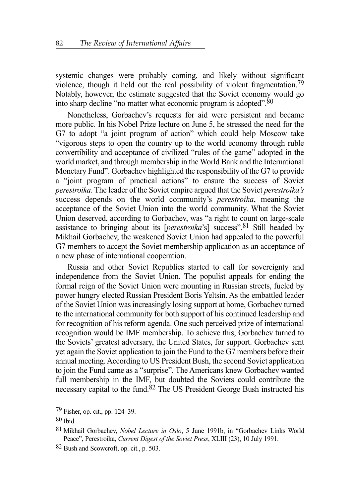systemic changes were probably coming, and likely without significant violence, though it held out the real possibility of violent fragmentation.79 Notably, however, the estimate suggested that the Soviet economy would go into sharp decline "no matter what economic program is adopted".80

Nonetheless, Gorbachev's requests for aid were persistent and became more public. In his Nobel Prize lecture on June 5, he stressed the need for the G7 to adopt "a joint program of action" which could help Moscow take "vigorous steps to open the country up to the world economy through ruble convertibility and acceptance of civilized "rules of the game" adopted in the world market, and through membership in the World Bank and the International Monetary Fund". Gorbachev highlighted the responsibility of the G7 to provide a "joint program of practical actions" to ensure the success of Soviet *perestroika*. The leader of the Soviet empire argued that the Soviet *perestroika's* success depends on the world community's *perestroika*, meaning the acceptance of the Soviet Union into the world community. What the Soviet Union deserved, according to Gorbachev, was "a right to count on large-scale assistance to bringing about its [*perestroika*'s] success".81 Still headed by Mikhail Gorbachev, the weakened Soviet Union had appealed to the powerful G7 members to accept the Soviet membership application as an acceptance of a new phase of international cooperation.

Russia and other Soviet Republics started to call for sovereignty and independence from the Soviet Union. The populist appeals for ending the formal reign of the Soviet Union were mounting in Russian streets, fueled by power hungry elected Russian President Boris Yeltsin. As the embattled leader of the Soviet Union was increasingly losing support at home, Gorbachev turned to the international community for both support of his continued leadership and for recognition of his reform agenda. One such perceived prize of international recognition would be IMF membership. To achieve this, Gorbachev turned to the Soviets' greatest adversary, the United States, for support. Gorbachev sent yet again the Soviet application to join the Fund to the G7 members before their annual meeting. According to US President Bush, the second Soviet application to join the Fund came as a "surprise". The Americans knew Gorbachev wanted full membership in the IMF, but doubted the Soviets could contribute the necessary capital to the fund.82 The US President George Bush instructed his

<sup>79</sup> Fisher, op. cit., pp. 124–39.

 $80$  Ibid.

<sup>81</sup> Mikhail Gorbachev, *Nobel Lecture in Oslo*, 5 June 1991b, in "Gorbachev Links World Peace", Perestroika, *Current Digest of the Soviet Press*, XLIII (23), 10 July 1991.

<sup>82</sup> Bush and Scowcroft, op. cit., p. 503.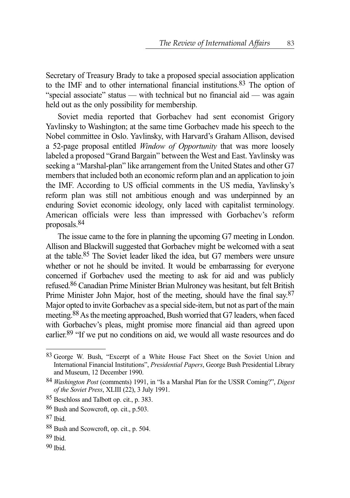Secretary of Treasury Brady to take a proposed special association application to the IMF and to other international financial institutions.83 The option of "special associate" status — with technical but no financial aid — was again held out as the only possibility for membership.

Soviet media reported that Gorbachev had sent economist Grigory Yavlinsky to Washington; at the same time Gorbachev made his speech to the Nobel committee in Oslo. Yavlinsky, with Harvard's Graham Allison, devised a 52-page proposal entitled *Window of Opportunity* that was more loosely labeled a proposed "Grand Bargain" between the West and East. Yavlinsky was seeking a "Marshal-plan" like arrangement from the United States and other G7 members that included both an economic reform plan and an application to join the IMF. According to US official comments in the US media, Yavlinsky's reform plan was still not ambitious enough and was underpinned by an enduring Soviet economic ideology, only laced with capitalist terminology. American officials were less than impressed with Gorbachev's reform proposals.84

The issue came to the fore in planning the upcoming G7 meeting in London. Allison and Blackwill suggested that Gorbachev might be welcomed with a seat at the table.85 The Soviet leader liked the idea, but G7 members were unsure whether or not he should be invited. It would be embarrassing for everyone concerned if Gorbachev used the meeting to ask for aid and was publicly refused.86 Canadian Prime Minister Brian Mulroney was hesitant, but felt British Prime Minister John Major, host of the meeting, should have the final say.<sup>87</sup> Major opted to invite Gorbachev as a special side-item, but not as part of the main meeting.88As the meeting approached, Bush worried that G7 leaders, when faced with Gorbachev's pleas, might promise more financial aid than agreed upon earlier.89 "If we put no conditions on aid, we would all waste resources and do

<sup>83</sup> George W. Bush, "Excerpt of a White House Fact Sheet on the Soviet Union and International Financial Institutions", *Presidential Papers*, George Bush Presidential Library and Museum, 12 December 1990.

<sup>84</sup> *Washington Post* (comments) 1991, in "Is a Marshal Plan for the USSR Coming?", *Digest of the Soviet Press*, XLIII (22), 3 July 1991.

<sup>85</sup> Beschloss and Talbott op. cit., p. 383.

<sup>86</sup> Bush and Scowcroft, op. cit., p.503.

<sup>87</sup> Ibid.

<sup>88</sup> Bush and Scowcroft, op. cit., p. 504.

<sup>89</sup> Ibid.

<sup>90</sup> Ibid.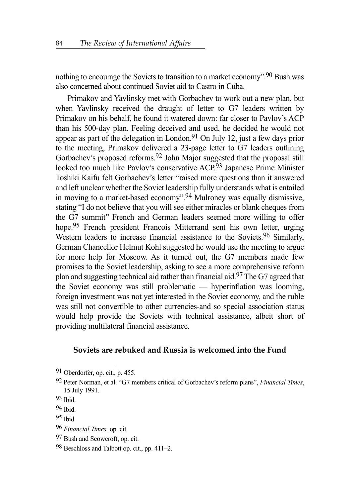nothing to encourage the Soviets to transition to a market economy".90 Bush was also concerned about continued Soviet aid to Castro in Cuba.

Primakov and Yavlinsky met with Gorbachev to work out a new plan, but when Yavlinsky received the draught of letter to G7 leaders written by Primakov on his behalf, he found it watered down: far closer to Pavlov's ACP than his 500-day plan. Feeling deceived and used, he decided he would not appear as part of the delegation in London.<sup>91</sup> On July 12, just a few days prior to the meeting, Primakov delivered a 23-page letter to G7 leaders outlining Gorbachev's proposed reforms.<sup>92</sup> John Major suggested that the proposal still looked too much like Pavlov's conservative ACP.93 Japanese Prime Minister Toshiki Kaifu felt Gorbachev's letter "raised more questions than it answered and left unclear whether the Soviet leadership fully understands what is entailed in moving to a market-based economy".94 Mulroney was equally dismissive, stating "I do not believe that you will see either miracles or blank cheques from the G7 summit" French and German leaders seemed more willing to offer hope.95 French president Francois Mitterrand sent his own letter, urging Western leaders to increase financial assistance to the Soviets.<sup>96</sup> Similarly, German Chancellor Helmut Kohl suggested he would use the meeting to argue for more help for Moscow. As it turned out, the G7 members made few promises to the Soviet leadership, asking to see a more comprehensive reform plan and suggesting technical aid rather than financial aid.97 The G7 agreed that the Soviet economy was still problematic — hyperinflation was looming, foreign investment was not yet interested in the Soviet economy, and the ruble was still not convertible to other currencies-and so special association status would help provide the Soviets with technical assistance, albeit short of providing multilateral financial assistance.

## **Soviets are rebuked and Russia is welcomed into the Fund**

<sup>91</sup> Oberdorfer, op. cit., p. 455.

<sup>92</sup> Peter Norman, et al. "G7 members critical of Gorbachev's reform plans", *Financial Times*, 15 July 1991.

<sup>93</sup> Ibid.

<sup>94</sup> Ibid.

<sup>95</sup> Ibid.

<sup>96</sup> *Financial Times,* op. cit.

<sup>97</sup> Bush and Scowcroft, op. cit.

<sup>98</sup> Beschloss and Talbott op. cit., pp. 411–2.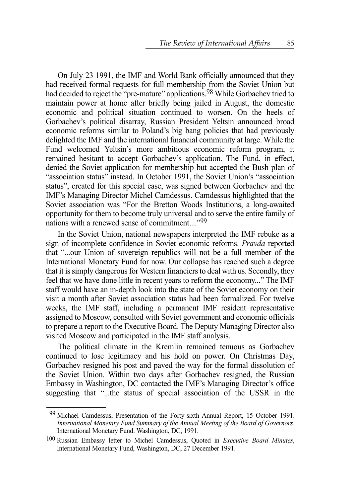On July 23 1991, the IMF and World Bank officially announced that they had received formal requests for full membership from the Soviet Union but had decided to reject the "pre-mature" applications.<sup>98</sup> While Gorbachev tried to maintain power at home after briefly being jailed in August, the domestic economic and political situation continued to worsen. On the heels of Gorbachev's political disarray, Russian President Yeltsin announced broad economic reforms similar to Poland's big bang policies that had previously delighted the IMF and the international financial community at large. While the Fund welcomed Yeltsin's more ambitious economic reform program, it remained hesitant to accept Gorbachev's application. The Fund, in effect, denied the Soviet application for membership but accepted the Bush plan of "association status" instead. In October 1991, the Soviet Union's "association status", created for this special case, was signed between Gorbachev and the IMF's Managing Director Michel Camdessus. Camdessus highlighted that the Soviet association was "For the Bretton Woods Institutions, a long-awaited opportunity for them to become truly universal and to serve the entire family of nations with a renewed sense of commitment...."99

In the Soviet Union, national newspapers interpreted the IMF rebuke as a sign of incomplete confidence in Soviet economic reforms. *Pravda* reported that "...our Union of sovereign republics will not be a full member of the International Monetary Fund for now. Our collapse has reached such a degree that it is simply dangerous for Western financiers to deal with us. Secondly, they feel that we have done little in recent years to reform the economy..." The IMF staff would have an in-depth look into the state of the Soviet economy on their visit a month after Soviet association status had been formalized. For twelve weeks, the IMF staff, including a permanent IMF resident representative assigned to Moscow, consulted with Soviet government and economic officials to prepare a report to the Executive Board. The Deputy Managing Director also visited Moscow and participated in the IMF staff analysis.

The political climate in the Kremlin remained tenuous as Gorbachev continued to lose legitimacy and his hold on power. On Christmas Day, Gorbachev resigned his post and paved the way for the formal dissolution of the Soviet Union. Within two days after Gorbachev resigned, the Russian Embassy in Washington, DC contacted the IMF's Managing Director's office suggesting that "...the status of special association of the USSR in the

<sup>99</sup> Michael Camdessus, Presentation of the Forty-sixth Annual Report, 15 October 1991. *International Monetary Fund Summary of the Annual Meeting of the Board of Governors*. International Monetary Fund. Washington, DC, 1991.

<sup>100</sup> Russian Embassy letter to Michel Camdessus, Quoted in *Executive Board Minutes*, International Monetary Fund, Washington, DC, 27 December 1991.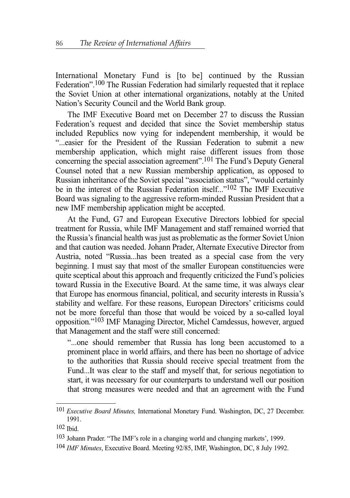International Monetary Fund is [to be] continued by the Russian Federation".100 The Russian Federation had similarly requested that it replace the Soviet Union at other international organizations, notably at the United Nation's Security Council and the World Bank group.

The IMF Executive Board met on December 27 to discuss the Russian Federation's request and decided that since the Soviet membership status included Republics now vying for independent membership, it would be "...easier for the President of the Russian Federation to submit a new membership application, which might raise different issues from those concerning the special association agreement".101 The Fund's Deputy General Counsel noted that a new Russian membership application, as opposed to Russian inheritance of the Soviet special "association status", "would certainly be in the interest of the Russian Federation itself..."102 The IMF Executive Board was signaling to the aggressive reform-minded Russian President that a new IMF membership application might be accepted.

At the Fund, G7 and European Executive Directors lobbied for special treatment for Russia, while IMF Management and staff remained worried that the Russia's financial health was just as problematic as the former Soviet Union and that caution was needed. Johann Prader, Alternate Executive Director from Austria, noted "Russia...has been treated as a special case from the very beginning. I must say that most of the smaller European constituencies were quite sceptical about this approach and frequently criticized the Fund's policies toward Russia in the Executive Board. At the same time, it was always clear that Europe has enormous financial, political, and security interests in Russia's stability and welfare. For these reasons, European Directors' criticisms could not be more forceful than those that would be voiced by a so-called loyal opposition."103 IMF Managing Director, Michel Camdessus, however, argued that Management and the staff were still concerned:

"...one should remember that Russia has long been accustomed to a prominent place in world affairs, and there has been no shortage of advice to the authorities that Russia should receive special treatment from the Fund...It was clear to the staff and myself that, for serious negotiation to start, it was necessary for our counterparts to understand well our position that strong measures were needed and that an agreement with the Fund

<sup>101</sup> *Executive Board Minutes,* International Monetary Fund. Washington, DC, 27 December. 1991.

<sup>102</sup> Ibid.

<sup>103</sup> Johann Prader. "The IMF's role in a changing world and changing markets', 1999.

<sup>104</sup> *IMF Minutes*, Executive Board. Meeting 92/85, IMF, Washington, DC, 8 July 1992.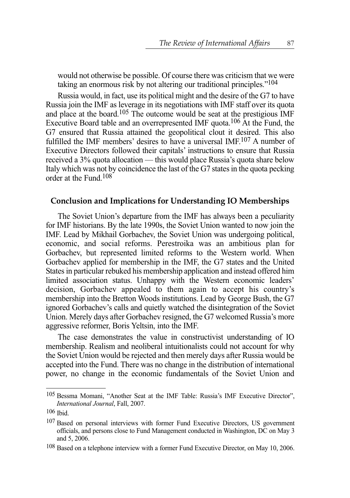would not otherwise be possible. Of course there was criticism that we were taking an enormous risk by not altering our traditional principles."104

Russia would, in fact, use its political might and the desire of the G7 to have Russia join the IMF as leverage in its negotiations with IMF staff over its quota and place at the board.105 The outcome would be seat at the prestigious IMF Executive Board table and an overrepresented IMF quota.106 At the Fund, the G7 ensured that Russia attained the geopolitical clout it desired. This also fulfilled the IMF members' desires to have a universal IMF.107 A number of Executive Directors followed their capitals' instructions to ensure that Russia received a 3% quota allocation — this would place Russia's quota share below Italy which was not by coincidence the last of the G7 states in the quota pecking order at the Fund.108

### **Conclusion and Implications for Understanding IO Memberships**

The Soviet Union's departure from the IMF has always been a peculiarity for IMF historians. By the late 1990s, the Soviet Union wanted to now join the IMF. Lead by Mikhail Gorbachev, the Soviet Union was undergoing political, economic, and social reforms. Perestroika was an ambitious plan for Gorbachev, but represented limited reforms to the Western world. When Gorbachev applied for membership in the IMF, the G7 states and the United States in particular rebuked his membership application and instead offered him limited association status. Unhappy with the Western economic leaders' decision, Gorbachev appealed to them again to accept his country's membership into the Bretton Woods institutions. Lead by George Bush, the G7 ignored Gorbachev's calls and quietly watched the disintegration of the Soviet Union. Merely days after Gorbachev resigned, the G7 welcomed Russia's more aggressive reformer, Boris Yeltsin, into the IMF.

The case demonstrates the value in constructivist understanding of IO membership. Realism and neoliberal intuitionalists could not account for why the Soviet Union would be rejected and then merely days after Russia would be accepted into the Fund. There was no change in the distribution of international power, no change in the economic fundamentals of the Soviet Union and

<sup>105</sup> Bessma Momani, "Another Seat at the IMF Table: Russia's IMF Executive Director", *International Journal*, Fall, 2007.

<sup>106</sup> Ibid.

<sup>&</sup>lt;sup>107</sup> Based on personal interviews with former Fund Executive Directors, US government officials, and persons close to Fund Management conducted in Washington, DC on May 3 and 5, 2006.

<sup>&</sup>lt;sup>108</sup> Based on a telephone interview with a former Fund Executive Director, on May 10, 2006.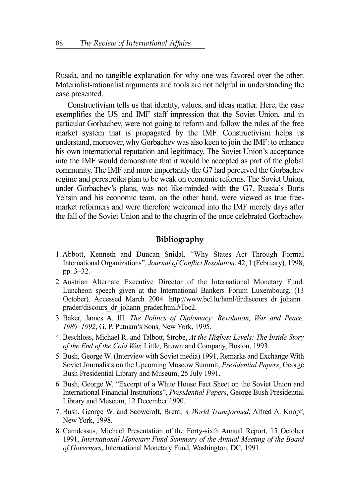Russia, and no tangible explanation for why one was favored over the other. Materialist-rationalist arguments and tools are not helpful in understanding the case presented.

Constructivism tells us that identity, values, and ideas matter. Here, the case exemplifies the US and IMF staff impression that the Soviet Union, and in particular Gorbachev, were not going to reform and follow the rules of the free market system that is propagated by the IMF. Constructivism helps us understand, moreover, why Gorbachev was also keen to join the IMF: to enhance his own international reputation and legitimacy. The Soviet Union's acceptance into the IMF would demonstrate that it would be accepted as part of the global community. The IMF and more importantly the G7 had perceived the Gorbachev regime and perestroika plan to be weak on economic reforms. The Soviet Union, under Gorbachev's plans, was not like-minded with the G7. Russia's Boris Yeltsin and his economic team, on the other hand, were viewed as true freemarket reformers and were therefore welcomed into the IMF merely days after the fall of the Soviet Union and to the chagrin of the once celebrated Gorbachev.

## **Bibliography**

- 1. Abbott, Kenneth and Duncan Snidal, "Why States Act Through Formal International Organizations", *Journal of Conflict Resolution*, 42, 1 (February), 1998, pp. 3–32.
- 2. Austrian Alternate Executive Director of the International Monetary Fund. Luncheon speech given at the International Bankers Forum Luxembourg, (13 October). Accessed March 2004. http://www.bcl.lu/html/fr/discours\_dr\_johann\_ prader/discours\_dr\_johann\_prader.html#Toc2.
- 3. Baker, James A. III. *The Politics of Diplomacy: Revolution, War and Peace, 1989–1992*, G. P. Putnam's Sons, New York, 1995.
- 4. Beschloss, Michael R. and Talbott, Strobe, *At the Highest Levels: The Inside Story of the End of the Cold War,* Little, Brown and Company, Boston, 1993.
- 5. Bush, George W. (Interview with Soviet media) 1991, Remarks and Exchange With Soviet Journalists on the Upcoming Moscow Summit, *Presidential Papers*, George Bush Presidential Library and Museum, 25 July 1991.
- 6. Bush, George W. "Excerpt of a White House Fact Sheet on the Soviet Union and International Financial Institutions", *Presidential Papers*, George Bush Presidential Library and Museum, 12 December 1990.
- 7. Bush, George W. and Scowcroft, Brent, *A World Transformed*, Alfred A. Knopf, New York, 1998.
- 8. Camdessus, Michael Presentation of the Forty-sixth Annual Report, 15 October 1991, *International Monetary Fund Summary of the Annual Meeting of the Board of Governors*, International Monetary Fund, Washington, DC, 1991.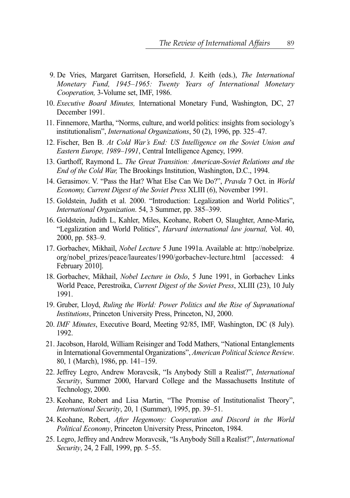- 9. De Vries, Margaret Garritsen, Horsefield, J. Keith (eds.), *The International Monetary Fund, 1945–1965: Twenty Years of International Monetary Cooperation,* 3-Volume set, IMF, 1986.
- 10. *Executive Board Minutes,* International Monetary Fund, Washington, DC, 27 December 1991.
- 11. Finnemore, Martha, "Norms, culture, and world politics: insights from sociology's institutionalism", *International Organizations*, 50 (2), 1996, pp. 325–47.
- 12. Fischer, Ben B. *At Cold War's End: US Intelligence on the Soviet Union and Eastern Europe, 1989–1991*, Central Intelligence Agency, 1999.
- 13. Garthoff, Raymond L. *The Great Transition: American-Soviet Relations and the End of the Cold War,* The Brookings Institution, Washington, D.C., 1994.
- 14. Gerasimov. V. "Pass the Hat? What Else Can We Do?", *Pravda* 7 Oct. in *World Economy, Current Digest of the Soviet Press* XLIII (6), November 1991.
- 15. Goldstein, Judith et al. 2000. "Introduction: Legalization and World Politics", *International Organization*. 54, 3 Summer, pp. 385–399.
- 16. Goldstein, Judith L, Kahler, Miles, Keohane, Robert O, Slaughter, Anne-Marie*,* "Legalization and World Politics", *Harvard international law journal,* Vol. 40, 2000, pp. 583–9.
- 17. Gorbachev, Mikhail, *Nobel Lecture* 5 June 1991a. Available at: http://nobelprize. org/nobel prizes/peace/laureates/1990/gorbachev-lecture.html [accessed: 4 February 2010].
- 18. Gorbachev, Mikhail, *Nobel Lecture in Oslo*, 5 June 1991, in Gorbachev Links World Peace, Perestroika, *Current Digest of the Soviet Press*, XLIII (23), 10 July 1991.
- 19. Gruber, Lloyd, *Ruling the World: Power Politics and the Rise of Supranational Institutions*, Princeton University Press, Princeton, NJ, 2000.
- 20. *IMF Minutes*, Executive Board, Meeting 92/85, IMF, Washington, DC (8 July). 1992.
- 21. Jacobson, Harold, William Reisinger and Todd Mathers, "National Entanglements in International Governmental Organizations", *American Political Science Review*. 80, 1 (March), 1986, pp. 141–159.
- 22. Jeffrey Legro, Andrew Moravcsik, "Is Anybody Still a Realist?", *International Security*, Summer 2000, Harvard College and the Massachusetts Institute of Technology, 2000.
- 23. Keohane, Robert and Lisa Martin, "The Promise of Institutionalist Theory", *International Security*, 20, 1 (Summer), 1995, pp. 39–51.
- 24. Keohane, Robert, *After Hegemony: Cooperation and Discord in the World Political Economy*, Princeton University Press, Princeton, 1984.
- 25. Legro, Jeffrey and Andrew Moravcsik, "Is Anybody Still a Realist?", *International Security*, 24, 2 Fall, 1999, pp. 5–55.